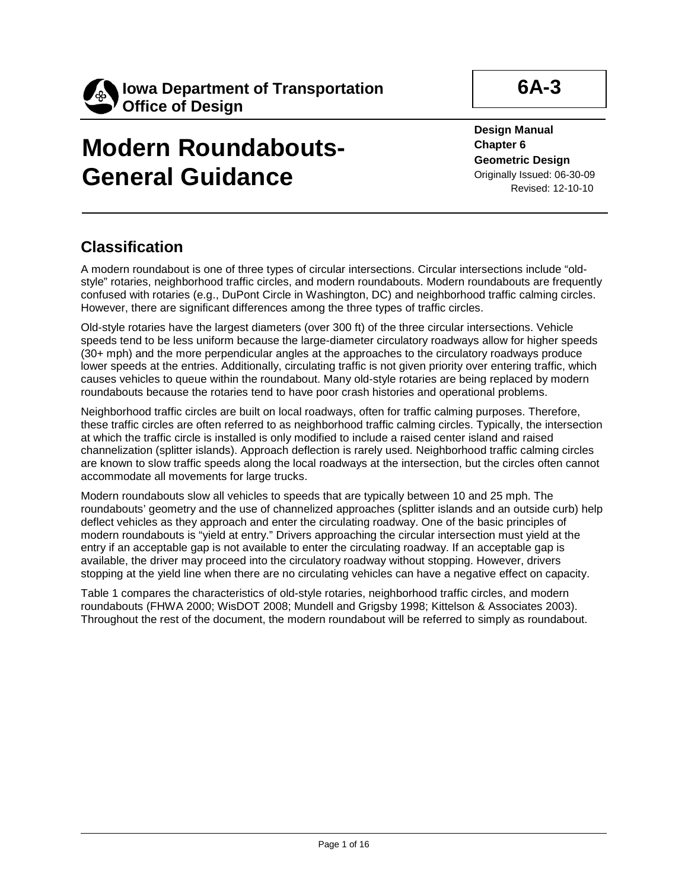

# **Modern Roundabouts-General Guidance**

**6A-3**

**Design Manual Chapter 6 Geometric Design** Originally Issued: 06-30-09 Revised: 12-10-10

# **Classification**

A modern roundabout is one of three types of circular intersections. Circular intersections include "oldstyle" rotaries, neighborhood traffic circles, and modern roundabouts. Modern roundabouts are frequently confused with rotaries (e.g., DuPont Circle in Washington, DC) and neighborhood traffic calming circles. However, there are significant differences among the three types of traffic circles.

Old-style rotaries have the largest diameters (over 300 ft) of the three circular intersections. Vehicle speeds tend to be less uniform because the large-diameter circulatory roadways allow for higher speeds (30+ mph) and the more perpendicular angles at the approaches to the circulatory roadways produce lower speeds at the entries. Additionally, circulating traffic is not given priority over entering traffic, which causes vehicles to queue within the roundabout. Many old-style rotaries are being replaced by modern roundabouts because the rotaries tend to have poor crash histories and operational problems.

Neighborhood traffic circles are built on local roadways, often for traffic calming purposes. Therefore, these traffic circles are often referred to as neighborhood traffic calming circles. Typically, the intersection at which the traffic circle is installed is only modified to include a raised center island and raised channelization (splitter islands). Approach deflection is rarely used. Neighborhood traffic calming circles are known to slow traffic speeds along the local roadways at the intersection, but the circles often cannot accommodate all movements for large trucks.

Modern roundabouts slow all vehicles to speeds that are typically between 10 and 25 mph. The roundabouts' geometry and the use of channelized approaches (splitter islands and an outside curb) help deflect vehicles as they approach and enter the circulating roadway. One of the basic principles of modern roundabouts is "yield at entry." Drivers approaching the circular intersection must yield at the entry if an acceptable gap is not available to enter the circulating roadway. If an acceptable gap is available, the driver may proceed into the circulatory roadway without stopping. However, drivers stopping at the yield line when there are no circulating vehicles can have a negative effect on capacity.

Table 1 compares the characteristics of old-style rotaries, neighborhood traffic circles, and modern roundabouts (FHWA 2000; WisDOT 2008; Mundell and Grigsby 1998; Kittelson & Associates 2003). Throughout the rest of the document, the modern roundabout will be referred to simply as roundabout.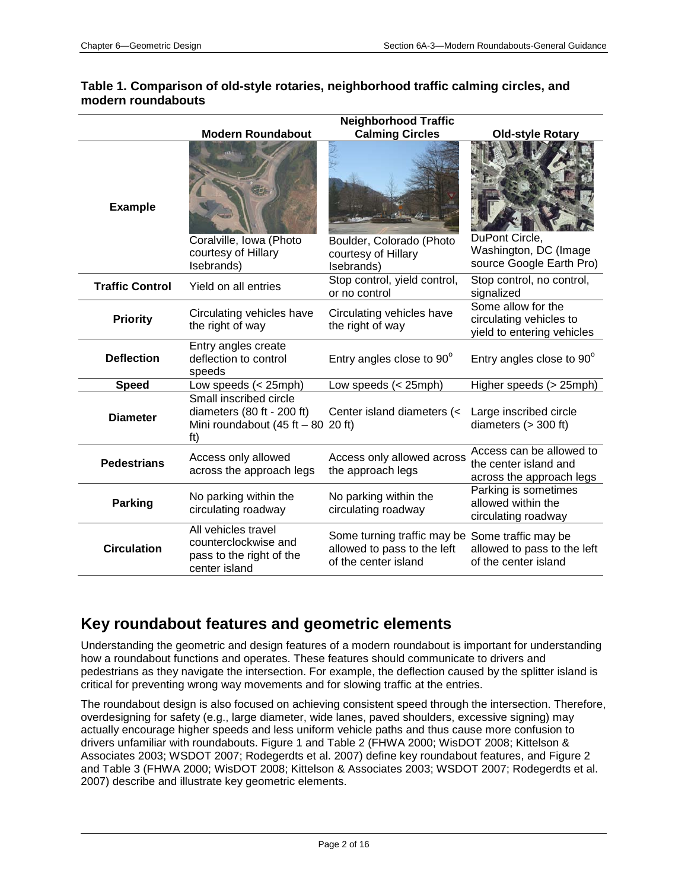|                        |                                                                                                     | <b>Neighborhood Traffic</b>                                                                            |                                                                               |
|------------------------|-----------------------------------------------------------------------------------------------------|--------------------------------------------------------------------------------------------------------|-------------------------------------------------------------------------------|
|                        | <b>Modern Roundabout</b>                                                                            | <b>Calming Circles</b>                                                                                 | <b>Old-style Rotary</b>                                                       |
| <b>Example</b>         | Coralville, Iowa (Photo                                                                             | Boulder, Colorado (Photo                                                                               | DuPont Circle,<br>Washington, DC (Image                                       |
|                        | courtesy of Hillary<br>Isebrands)                                                                   | courtesy of Hillary<br>Isebrands)                                                                      | source Google Earth Pro)                                                      |
| <b>Traffic Control</b> | Yield on all entries                                                                                | Stop control, yield control,<br>or no control                                                          | Stop control, no control,<br>signalized                                       |
| <b>Priority</b>        | Circulating vehicles have<br>the right of way                                                       | Circulating vehicles have<br>the right of way                                                          | Some allow for the<br>circulating vehicles to<br>yield to entering vehicles   |
| <b>Deflection</b>      | Entry angles create<br>deflection to control<br>speeds                                              | Entry angles close to 90°                                                                              | Entry angles close to 90°                                                     |
| <b>Speed</b>           | Low speeds (< 25mph)                                                                                | Low speeds (< 25mph)                                                                                   | Higher speeds (> 25mph)                                                       |
| <b>Diameter</b>        | Small inscribed circle<br>diameters (80 ft - 200 ft)<br>Mini roundabout $(45 ft - 80 20 ft)$<br>ft) | Center island diameters (<                                                                             | Large inscribed circle<br>diameters $(> 300 ft)$                              |
| <b>Pedestrians</b>     | Access only allowed<br>across the approach legs                                                     | Access only allowed across<br>the approach legs                                                        | Access can be allowed to<br>the center island and<br>across the approach legs |
| <b>Parking</b>         | No parking within the<br>circulating roadway                                                        | No parking within the<br>circulating roadway                                                           | Parking is sometimes<br>allowed within the<br>circulating roadway             |
| <b>Circulation</b>     | All vehicles travel<br>counterclockwise and<br>pass to the right of the<br>center island            | Some turning traffic may be Some traffic may be<br>allowed to pass to the left<br>of the center island | allowed to pass to the left<br>of the center island                           |

#### **Table 1. Comparison of old-style rotaries, neighborhood traffic calming circles, and modern roundabouts**

# **Key roundabout features and geometric elements**

Understanding the geometric and design features of a modern roundabout is important for understanding how a roundabout functions and operates. These features should communicate to drivers and pedestrians as they navigate the intersection. For example, the deflection caused by the splitter island is critical for preventing wrong way movements and for slowing traffic at the entries.

The roundabout design is also focused on achieving consistent speed through the intersection. Therefore, overdesigning for safety (e.g., large diameter, wide lanes, paved shoulders, excessive signing) may actually encourage higher speeds and less uniform vehicle paths and thus cause more confusion to drivers unfamiliar with roundabouts. Figure 1 and Table 2 (FHWA 2000; WisDOT 2008; Kittelson & Associates 2003; WSDOT 2007; Rodegerdts et al. 2007) define key roundabout features, and Figure 2 and Table 3 (FHWA 2000; WisDOT 2008; Kittelson & Associates 2003; WSDOT 2007; Rodegerdts et al. 2007) describe and illustrate key geometric elements.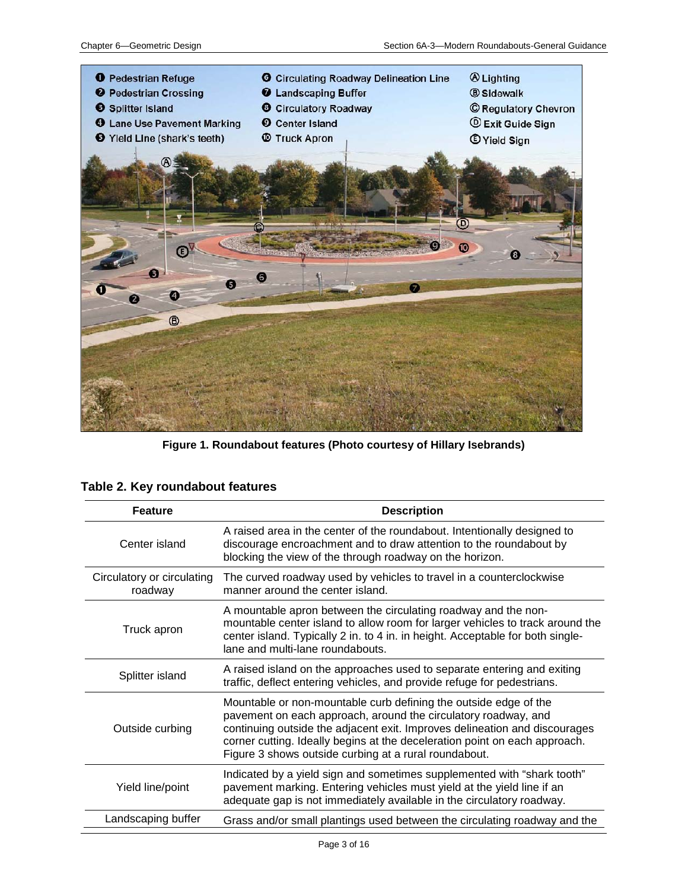

**Figure 1. Roundabout features (Photo courtesy of Hillary Isebrands)**

|  |  | Table 2. Key roundabout features |
|--|--|----------------------------------|
|--|--|----------------------------------|

| <b>Feature</b>                        | <b>Description</b>                                                                                                                                                                                                                                                                                                                                      |
|---------------------------------------|---------------------------------------------------------------------------------------------------------------------------------------------------------------------------------------------------------------------------------------------------------------------------------------------------------------------------------------------------------|
| Center island                         | A raised area in the center of the roundabout. Intentionally designed to<br>discourage encroachment and to draw attention to the roundabout by<br>blocking the view of the through roadway on the horizon.                                                                                                                                              |
| Circulatory or circulating<br>roadway | The curved roadway used by vehicles to travel in a counterclockwise<br>manner around the center island.                                                                                                                                                                                                                                                 |
| Truck apron                           | A mountable apron between the circulating roadway and the non-<br>mountable center island to allow room for larger vehicles to track around the<br>center island. Typically 2 in. to 4 in. in height. Acceptable for both single-<br>lane and multi-lane roundabouts.                                                                                   |
| Splitter island                       | A raised island on the approaches used to separate entering and exiting<br>traffic, deflect entering vehicles, and provide refuge for pedestrians.                                                                                                                                                                                                      |
| Outside curbing                       | Mountable or non-mountable curb defining the outside edge of the<br>pavement on each approach, around the circulatory roadway, and<br>continuing outside the adjacent exit. Improves delineation and discourages<br>corner cutting. Ideally begins at the deceleration point on each approach.<br>Figure 3 shows outside curbing at a rural roundabout. |
| Yield line/point                      | Indicated by a yield sign and sometimes supplemented with "shark tooth"<br>pavement marking. Entering vehicles must yield at the yield line if an<br>adequate gap is not immediately available in the circulatory roadway.                                                                                                                              |
| Landscaping buffer                    | Grass and/or small plantings used between the circulating roadway and the                                                                                                                                                                                                                                                                               |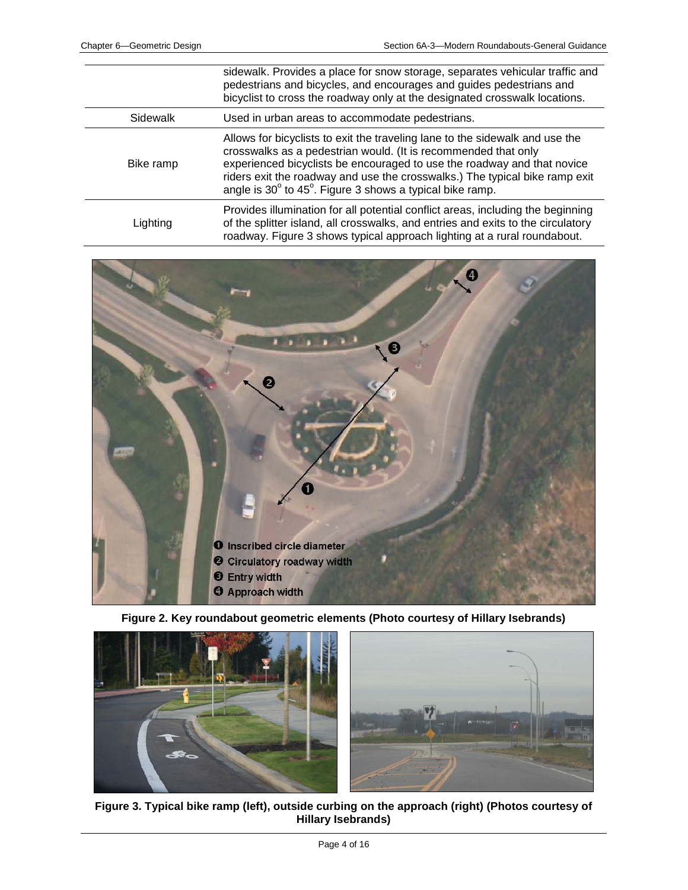|           | sidewalk. Provides a place for snow storage, separates vehicular traffic and<br>pedestrians and bicycles, and encourages and guides pedestrians and<br>bicyclist to cross the roadway only at the designated crosswalk locations.                                                                                                                                                       |
|-----------|-----------------------------------------------------------------------------------------------------------------------------------------------------------------------------------------------------------------------------------------------------------------------------------------------------------------------------------------------------------------------------------------|
| Sidewalk  | Used in urban areas to accommodate pedestrians.                                                                                                                                                                                                                                                                                                                                         |
| Bike ramp | Allows for bicyclists to exit the traveling lane to the sidewalk and use the<br>crosswalks as a pedestrian would. (It is recommended that only<br>experienced bicyclists be encouraged to use the roadway and that novice<br>riders exit the roadway and use the crosswalks.) The typical bike ramp exit<br>angle is $30^{\circ}$ to $45^{\circ}$ . Figure 3 shows a typical bike ramp. |
| Lighting  | Provides illumination for all potential conflict areas, including the beginning<br>of the splitter island, all crosswalks, and entries and exits to the circulatory<br>roadway. Figure 3 shows typical approach lighting at a rural roundabout.                                                                                                                                         |



**Figure 2. Key roundabout geometric elements (Photo courtesy of Hillary Isebrands)**



**Figure 3. Typical bike ramp (left), outside curbing on the approach (right) (Photos courtesy of Hillary Isebrands)**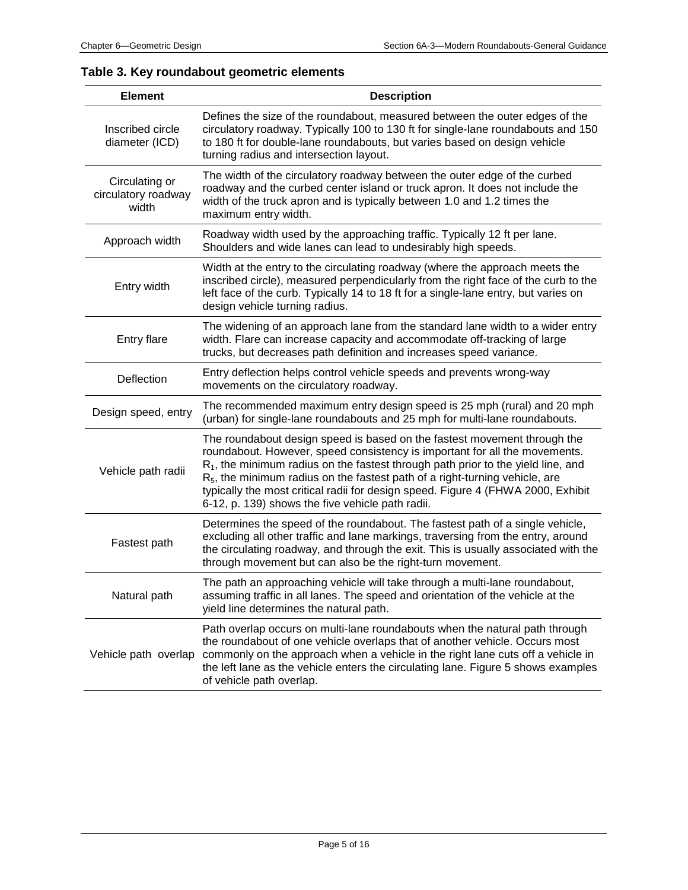### **Table 3. Key roundabout geometric elements**

| <b>Element</b>                                 | <b>Description</b>                                                                                                                                                                                                                                                                                                                                                                                                                                                     |
|------------------------------------------------|------------------------------------------------------------------------------------------------------------------------------------------------------------------------------------------------------------------------------------------------------------------------------------------------------------------------------------------------------------------------------------------------------------------------------------------------------------------------|
| Inscribed circle<br>diameter (ICD)             | Defines the size of the roundabout, measured between the outer edges of the<br>circulatory roadway. Typically 100 to 130 ft for single-lane roundabouts and 150<br>to 180 ft for double-lane roundabouts, but varies based on design vehicle<br>turning radius and intersection layout.                                                                                                                                                                                |
| Circulating or<br>circulatory roadway<br>width | The width of the circulatory roadway between the outer edge of the curbed<br>roadway and the curbed center island or truck apron. It does not include the<br>width of the truck apron and is typically between 1.0 and 1.2 times the<br>maximum entry width.                                                                                                                                                                                                           |
| Approach width                                 | Roadway width used by the approaching traffic. Typically 12 ft per lane.<br>Shoulders and wide lanes can lead to undesirably high speeds.                                                                                                                                                                                                                                                                                                                              |
| Entry width                                    | Width at the entry to the circulating roadway (where the approach meets the<br>inscribed circle), measured perpendicularly from the right face of the curb to the<br>left face of the curb. Typically 14 to 18 ft for a single-lane entry, but varies on<br>design vehicle turning radius.                                                                                                                                                                             |
| <b>Entry flare</b>                             | The widening of an approach lane from the standard lane width to a wider entry<br>width. Flare can increase capacity and accommodate off-tracking of large<br>trucks, but decreases path definition and increases speed variance.                                                                                                                                                                                                                                      |
| Deflection                                     | Entry deflection helps control vehicle speeds and prevents wrong-way<br>movements on the circulatory roadway.                                                                                                                                                                                                                                                                                                                                                          |
| Design speed, entry                            | The recommended maximum entry design speed is 25 mph (rural) and 20 mph<br>(urban) for single-lane roundabouts and 25 mph for multi-lane roundabouts.                                                                                                                                                                                                                                                                                                                  |
| Vehicle path radii                             | The roundabout design speed is based on the fastest movement through the<br>roundabout. However, speed consistency is important for all the movements.<br>$R_1$ , the minimum radius on the fastest through path prior to the yield line, and<br>$R5$ , the minimum radius on the fastest path of a right-turning vehicle, are<br>typically the most critical radii for design speed. Figure 4 (FHWA 2000, Exhibit<br>6-12, p. 139) shows the five vehicle path radii. |
| Fastest path                                   | Determines the speed of the roundabout. The fastest path of a single vehicle,<br>excluding all other traffic and lane markings, traversing from the entry, around<br>the circulating roadway, and through the exit. This is usually associated with the<br>through movement but can also be the right-turn movement.                                                                                                                                                   |
| Natural path                                   | The path an approaching vehicle will take through a multi-lane roundabout,<br>assuming traffic in all lanes. The speed and orientation of the vehicle at the<br>yield line determines the natural path.                                                                                                                                                                                                                                                                |
| Vehicle path overlap                           | Path overlap occurs on multi-lane roundabouts when the natural path through<br>the roundabout of one vehicle overlaps that of another vehicle. Occurs most<br>commonly on the approach when a vehicle in the right lane cuts off a vehicle in<br>the left lane as the vehicle enters the circulating lane. Figure 5 shows examples<br>of vehicle path overlap.                                                                                                         |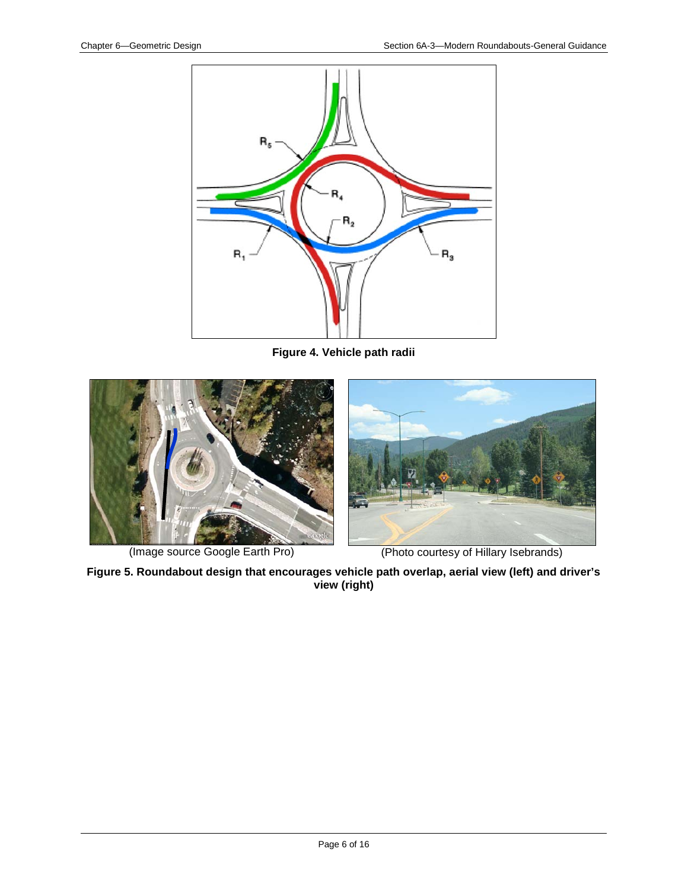

**Figure 4. Vehicle path radii**



**Figure 5. Roundabout design that encourages vehicle path overlap, aerial view (left) and driver's view (right)**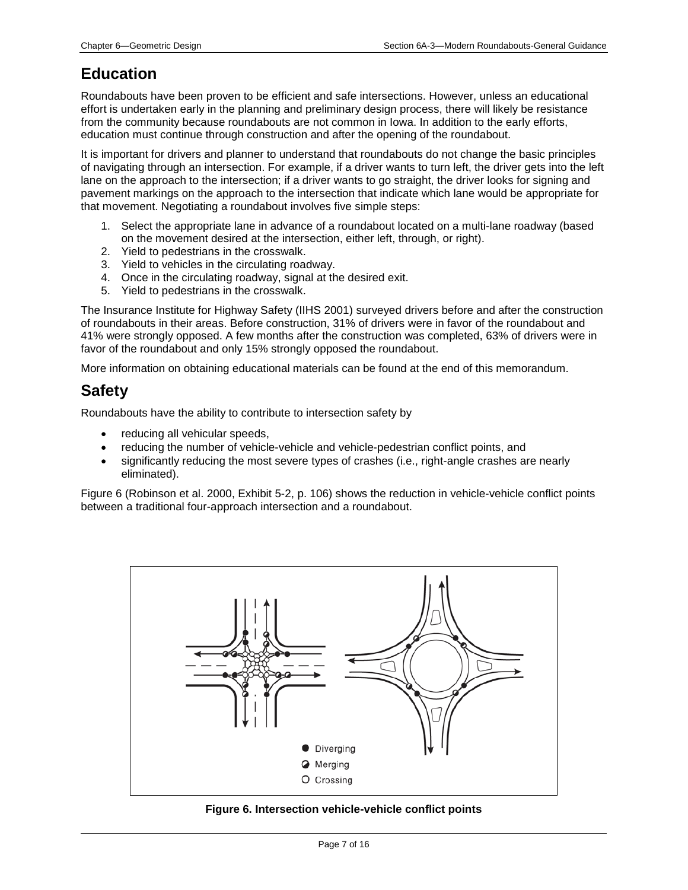# **Education**

Roundabouts have been proven to be efficient and safe intersections. However, unless an educational effort is undertaken early in the planning and preliminary design process, there will likely be resistance from the community because roundabouts are not common in Iowa. In addition to the early efforts, education must continue through construction and after the opening of the roundabout.

It is important for drivers and planner to understand that roundabouts do not change the basic principles of navigating through an intersection. For example, if a driver wants to turn left, the driver gets into the left lane on the approach to the intersection; if a driver wants to go straight, the driver looks for signing and pavement markings on the approach to the intersection that indicate which lane would be appropriate for that movement. Negotiating a roundabout involves five simple steps:

- 1. Select the appropriate lane in advance of a roundabout located on a multi-lane roadway (based on the movement desired at the intersection, either left, through, or right).
- 2. Yield to pedestrians in the crosswalk.
- 3. Yield to vehicles in the circulating roadway.
- 4. Once in the circulating roadway, signal at the desired exit.
- 5. Yield to pedestrians in the crosswalk.

The Insurance Institute for Highway Safety (IIHS 2001) surveyed drivers before and after the construction of roundabouts in their areas. Before construction, 31% of drivers were in favor of the roundabout and 41% were strongly opposed. A few months after the construction was completed, 63% of drivers were in favor of the roundabout and only 15% strongly opposed the roundabout.

More information on obtaining educational materials can be found at the end of this memorandum.

### **Safety**

Roundabouts have the ability to contribute to intersection safety by

- reducing all vehicular speeds,
- reducing the number of vehicle-vehicle and vehicle-pedestrian conflict points, and
- significantly reducing the most severe types of crashes (i.e., right-angle crashes are nearly eliminated).

Figure 6 (Robinson et al. 2000, Exhibit 5-2, p. 106) shows the reduction in vehicle-vehicle conflict points between a traditional four-approach intersection and a roundabout.



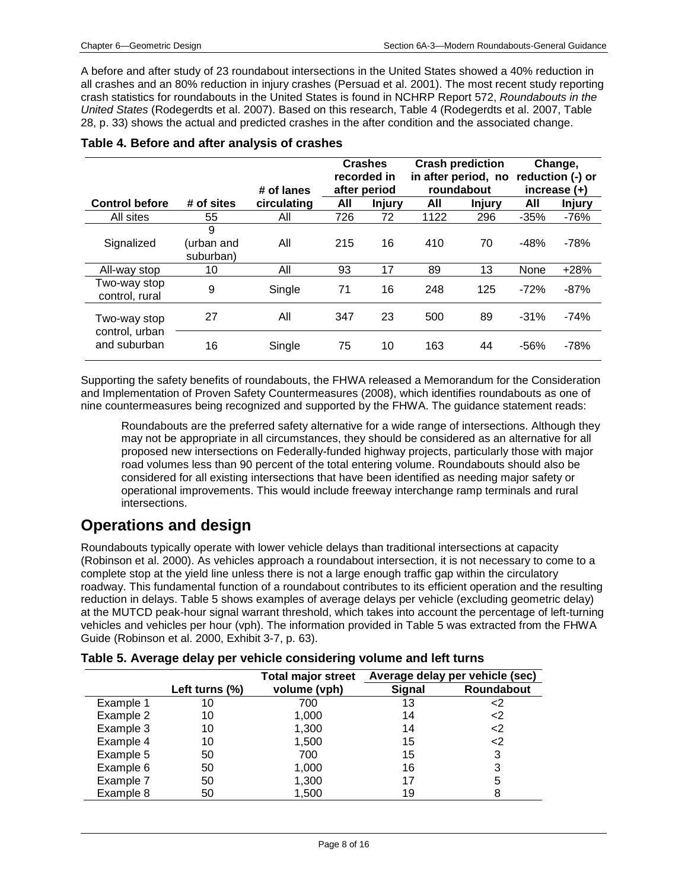A before and after study of 23 roundabout intersections in the United States showed a 40% reduction in all crashes and an 80% reduction in injury crashes (Persuad et al. 2001). The most recent study reporting crash statistics for roundabouts in the United States is found in NCHRP Report 572, *Roundabouts in the United States* (Rodegerdts et al. 2007). Based on this research, Table 4 (Rodegerdts et al. 2007, Table 28, p. 33) shows the actual and predicted crashes in the after condition and the associated change.

|                                |            |             | <b>Crashes</b> |               | <b>Crash prediction</b> |                     | Change, |                  |
|--------------------------------|------------|-------------|----------------|---------------|-------------------------|---------------------|---------|------------------|
|                                |            |             |                | recorded in   |                         | in after period, no |         | reduction (-) or |
|                                |            | # of lanes  |                | after period  |                         | roundabout          |         | increase $(+)$   |
| <b>Control before</b>          | # of sites | circulating | All            | <b>Injury</b> | All                     | <b>Injury</b>       | All     | <b>Injury</b>    |
| All sites                      | 55         | All         | 726            | 72            | 1122                    | 296                 | $-35%$  | $-76%$           |
|                                | 9          |             |                |               |                         |                     |         |                  |
| Signalized                     | (urban and | All         | 215            | 16            | 410                     | 70                  | $-48%$  | $-78%$           |
|                                | suburban)  |             |                |               |                         |                     |         |                  |
| All-way stop                   | 10         | All         | 93             | 17            | 89                      | 13                  | None    | $+28%$           |
| Two-way stop                   | 9          | Single      | 71             | 16            | 248                     | 125                 | $-72%$  | $-87%$           |
| control, rural                 |            |             |                |               |                         |                     |         |                  |
|                                | 27         | All         | 347            | 23            | 500                     | 89                  | $-31%$  | $-74%$           |
| Two-way stop                   |            |             |                |               |                         |                     |         |                  |
| control, urban<br>and suburban |            |             |                |               | 163                     | 44                  | $-56%$  | $-78%$           |
|                                | 16         | Single      | 75             | 10            |                         |                     |         |                  |

#### **Table 4. Before and after analysis of crashes**

Supporting the safety benefits of roundabouts, the FHWA released a Memorandum for the Consideration and Implementation of Proven Safety Countermeasures (2008), which identifies roundabouts as one of nine countermeasures being recognized and supported by the FHWA. The guidance statement reads:

Roundabouts are the preferred safety alternative for a wide range of intersections. Although they may not be appropriate in all circumstances, they should be considered as an alternative for all proposed new intersections on Federally-funded highway projects, particularly those with major road volumes less than 90 percent of the total entering volume. Roundabouts should also be considered for all existing intersections that have been identified as needing major safety or operational improvements. This would include freeway interchange ramp terminals and rural intersections.

### **Operations and design**

Roundabouts typically operate with lower vehicle delays than traditional intersections at capacity (Robinson et al. 2000). As vehicles approach a roundabout intersection, it is not necessary to come to a complete stop at the yield line unless there is not a large enough traffic gap within the circulatory roadway. This fundamental function of a roundabout contributes to its efficient operation and the resulting reduction in delays. Table 5 shows examples of average delays per vehicle (excluding geometric delay) at the MUTCD peak-hour signal warrant threshold, which takes into account the percentage of left-turning vehicles and vehicles per hour (vph). The information provided in Table 5 was extracted from the FHWA Guide (Robinson et al. 2000, Exhibit 3-7, p. 63).

|  |  |  |  |  | Table 5. Average delay per vehicle considering volume and left turns |  |
|--|--|--|--|--|----------------------------------------------------------------------|--|
|--|--|--|--|--|----------------------------------------------------------------------|--|

|           |                   | <b>Total major street</b> |               | Average delay per vehicle (sec) |
|-----------|-------------------|---------------------------|---------------|---------------------------------|
|           | Left turns $(\%)$ | volume (vph)              | <b>Signal</b> | <b>Roundabout</b>               |
| Example 1 | 10                | 700                       | 13            | <2                              |
| Example 2 | 10                | 1,000                     | 14            | <2                              |
| Example 3 | 10                | 1,300                     | 14            | <2                              |
| Example 4 | 10                | 1,500                     | 15            | <2                              |
| Example 5 | 50                | 700                       | 15            | 3                               |
| Example 6 | 50                | 1,000                     | 16            | 3                               |
| Example 7 | 50                | 1,300                     | 17            | 5                               |
| Example 8 | 50                | 1,500                     | 19            |                                 |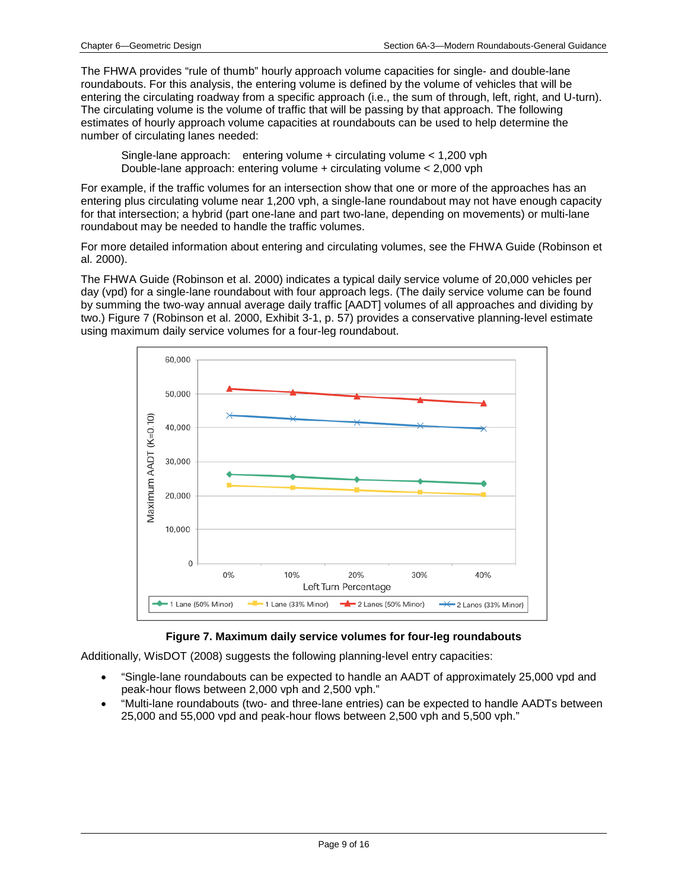The FHWA provides "rule of thumb" hourly approach volume capacities for single- and double-lane roundabouts. For this analysis, the entering volume is defined by the volume of vehicles that will be entering the circulating roadway from a specific approach (i.e., the sum of through, left, right, and U-turn). The circulating volume is the volume of traffic that will be passing by that approach. The following estimates of hourly approach volume capacities at roundabouts can be used to help determine the number of circulating lanes needed:

Single-lane approach: entering volume + circulating volume < 1,200 vph Double-lane approach: entering volume + circulating volume < 2,000 vph

For example, if the traffic volumes for an intersection show that one or more of the approaches has an entering plus circulating volume near 1,200 vph, a single-lane roundabout may not have enough capacity for that intersection; a hybrid (part one-lane and part two-lane, depending on movements) or multi-lane roundabout may be needed to handle the traffic volumes.

For more detailed information about entering and circulating volumes, see the FHWA Guide (Robinson et al. 2000).

The FHWA Guide (Robinson et al. 2000) indicates a typical daily service volume of 20,000 vehicles per day (vpd) for a single-lane roundabout with four approach legs. (The daily service volume can be found by summing the two-way annual average daily traffic [AADT] volumes of all approaches and dividing by two.) Figure 7 (Robinson et al. 2000, Exhibit 3-1, p. 57) provides a conservative planning-level estimate using maximum daily service volumes for a four-leg roundabout.



#### **Figure 7. Maximum daily service volumes for four-leg roundabouts**

Additionally, WisDOT (2008) suggests the following planning-level entry capacities:

- "Single-lane roundabouts can be expected to handle an AADT of approximately 25,000 vpd and peak-hour flows between 2,000 vph and 2,500 vph."
- "Multi-lane roundabouts (two- and three-lane entries) can be expected to handle AADTs between 25,000 and 55,000 vpd and peak-hour flows between 2,500 vph and 5,500 vph."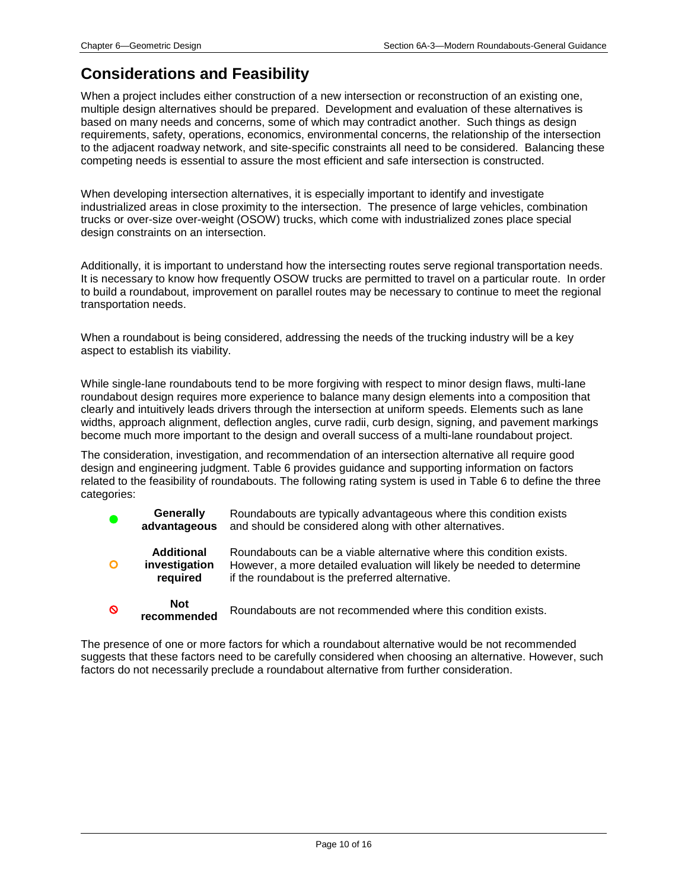### **Considerations and Feasibility**

When a project includes either construction of a new intersection or reconstruction of an existing one, multiple design alternatives should be prepared. Development and evaluation of these alternatives is based on many needs and concerns, some of which may contradict another. Such things as design requirements, safety, operations, economics, environmental concerns, the relationship of the intersection to the adjacent roadway network, and site-specific constraints all need to be considered. Balancing these competing needs is essential to assure the most efficient and safe intersection is constructed.

When developing intersection alternatives, it is especially important to identify and investigate industrialized areas in close proximity to the intersection. The presence of large vehicles, combination trucks or over-size over-weight (OSOW) trucks, which come with industrialized zones place special design constraints on an intersection.

Additionally, it is important to understand how the intersecting routes serve regional transportation needs. It is necessary to know how frequently OSOW trucks are permitted to travel on a particular route. In order to build a roundabout, improvement on parallel routes may be necessary to continue to meet the regional transportation needs.

When a roundabout is being considered, addressing the needs of the trucking industry will be a key aspect to establish its viability.

While single-lane roundabouts tend to be more forgiving with respect to minor design flaws, multi-lane roundabout design requires more experience to balance many design elements into a composition that clearly and intuitively leads drivers through the intersection at uniform speeds. Elements such as lane widths, approach alignment, deflection angles, curve radii, curb design, signing, and pavement markings become much more important to the design and overall success of a multi-lane roundabout project.

The consideration, investigation, and recommendation of an intersection alternative all require good design and engineering judgment. Table 6 provides guidance and supporting information on factors related to the feasibility of roundabouts. The following rating system is used in Table 6 to define the three categories:



The presence of one or more factors for which a roundabout alternative would be not recommended suggests that these factors need to be carefully considered when choosing an alternative. However, such factors do not necessarily preclude a roundabout alternative from further consideration.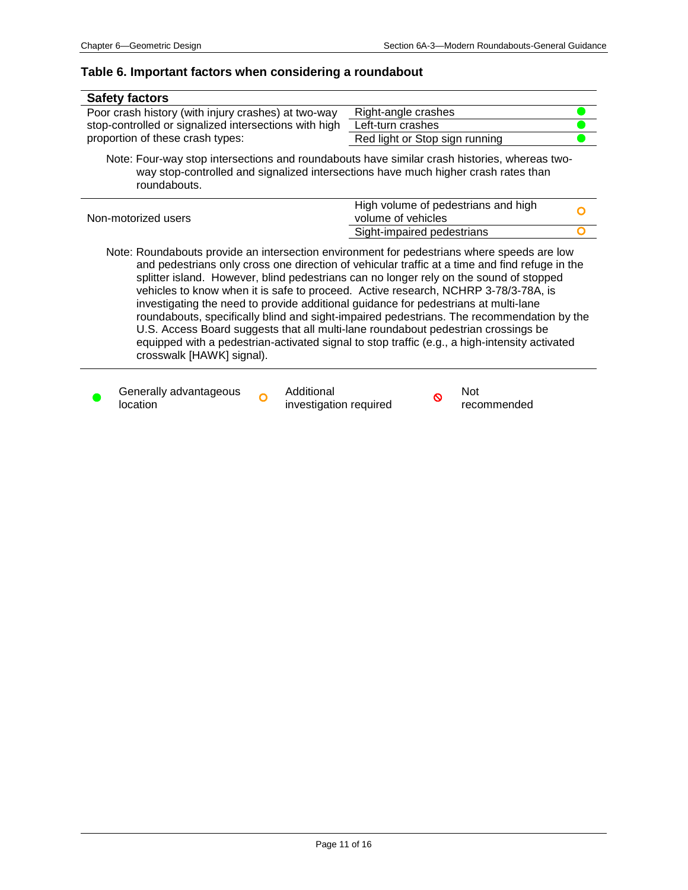#### **Table 6. Important factors when considering a roundabout**

| <b>Safety factors</b>                                                                                                                                                                                                                                                                                                                                       |                                                                                                                                                                                                                                                                                       |
|-------------------------------------------------------------------------------------------------------------------------------------------------------------------------------------------------------------------------------------------------------------------------------------------------------------------------------------------------------------|---------------------------------------------------------------------------------------------------------------------------------------------------------------------------------------------------------------------------------------------------------------------------------------|
| Poor crash history (with injury crashes) at two-way                                                                                                                                                                                                                                                                                                         | Right-angle crashes                                                                                                                                                                                                                                                                   |
| stop-controlled or signalized intersections with high                                                                                                                                                                                                                                                                                                       | Left-turn crashes                                                                                                                                                                                                                                                                     |
| proportion of these crash types:                                                                                                                                                                                                                                                                                                                            | Red light or Stop sign running                                                                                                                                                                                                                                                        |
| Note: Four-way stop intersections and roundabouts have similar crash histories, whereas two-<br>way stop-controlled and signalized intersections have much higher crash rates than<br>roundabouts.                                                                                                                                                          |                                                                                                                                                                                                                                                                                       |
| Non-motorized users                                                                                                                                                                                                                                                                                                                                         | High volume of pedestrians and high<br>volume of vehicles                                                                                                                                                                                                                             |
|                                                                                                                                                                                                                                                                                                                                                             | Sight-impaired pedestrians                                                                                                                                                                                                                                                            |
| Note: Roundabouts provide an intersection environment for pedestrians where speeds are low<br>vehicles to know when it is safe to proceed. Active research, NCHRP 3-78/3-78A, is<br>investigating the need to provide additional guidance for pedestrians at multi-lane<br>LLC Accord Doord quadorte that all multi long roundabout podpetrion grassings be | and pedestrians only cross one direction of vehicular traffic at a time and find refuge in the<br>splitter island. However, blind pedestrians can no longer rely on the sound of stopped<br>roundabouts, specifically blind and sight-impaired pedestrians. The recommendation by the |

U.S. Access Board suggests that all multi-lane roundabout pedestrian crossings be equipped with a pedestrian-activated signal to stop traffic (e.g., a high-intensity activated crosswalk [HAWK] signal).



**C** Generally advantageous **C** Additional location

Additional **Not**<br>investigation required **S** reco

recommended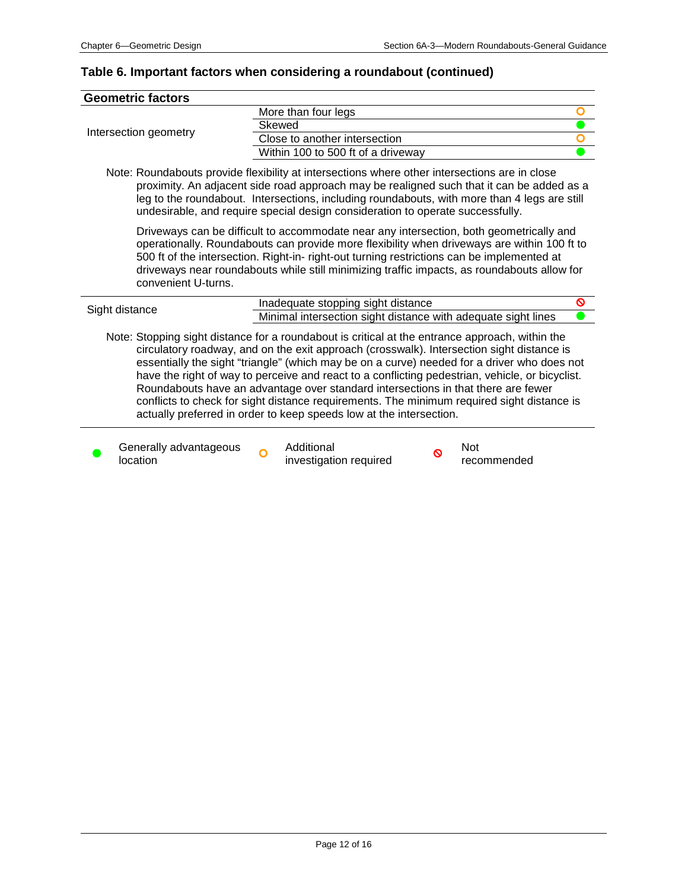# **Table 6. Important factors when considering a roundabout (continued)**

|                                                                                                                                                                                                                                                                                                                                                                                                                                                                                                                                                                                                                                                          | <b>Geometric factors</b>           |                                                               |                                                                                                                                                                                                                                                                                                                                                                                     |   |                    |  |
|----------------------------------------------------------------------------------------------------------------------------------------------------------------------------------------------------------------------------------------------------------------------------------------------------------------------------------------------------------------------------------------------------------------------------------------------------------------------------------------------------------------------------------------------------------------------------------------------------------------------------------------------------------|------------------------------------|---------------------------------------------------------------|-------------------------------------------------------------------------------------------------------------------------------------------------------------------------------------------------------------------------------------------------------------------------------------------------------------------------------------------------------------------------------------|---|--------------------|--|
|                                                                                                                                                                                                                                                                                                                                                                                                                                                                                                                                                                                                                                                          |                                    |                                                               | More than four legs                                                                                                                                                                                                                                                                                                                                                                 |   |                    |  |
|                                                                                                                                                                                                                                                                                                                                                                                                                                                                                                                                                                                                                                                          |                                    | Skewed                                                        |                                                                                                                                                                                                                                                                                                                                                                                     |   |                    |  |
|                                                                                                                                                                                                                                                                                                                                                                                                                                                                                                                                                                                                                                                          | Intersection geometry              |                                                               | Close to another intersection                                                                                                                                                                                                                                                                                                                                                       |   |                    |  |
|                                                                                                                                                                                                                                                                                                                                                                                                                                                                                                                                                                                                                                                          |                                    | Within 100 to 500 ft of a driveway                            |                                                                                                                                                                                                                                                                                                                                                                                     |   |                    |  |
|                                                                                                                                                                                                                                                                                                                                                                                                                                                                                                                                                                                                                                                          |                                    |                                                               | Note: Roundabouts provide flexibility at intersections where other intersections are in close<br>proximity. An adjacent side road approach may be realigned such that it can be added as a<br>leg to the roundabout. Intersections, including roundabouts, with more than 4 legs are still<br>undesirable, and require special design consideration to operate successfully.        |   |                    |  |
|                                                                                                                                                                                                                                                                                                                                                                                                                                                                                                                                                                                                                                                          | convenient U-turns.                |                                                               | Driveways can be difficult to accommodate near any intersection, both geometrically and<br>operationally. Roundabouts can provide more flexibility when driveways are within 100 ft to<br>500 ft of the intersection. Right-in- right-out turning restrictions can be implemented at<br>driveways near roundabouts while still minimizing traffic impacts, as roundabouts allow for |   |                    |  |
|                                                                                                                                                                                                                                                                                                                                                                                                                                                                                                                                                                                                                                                          |                                    |                                                               | Inadequate stopping sight distance                                                                                                                                                                                                                                                                                                                                                  |   | O                  |  |
| Sight distance                                                                                                                                                                                                                                                                                                                                                                                                                                                                                                                                                                                                                                           |                                    | Minimal intersection sight distance with adequate sight lines |                                                                                                                                                                                                                                                                                                                                                                                     |   |                    |  |
| Note: Stopping sight distance for a roundabout is critical at the entrance approach, within the<br>circulatory roadway, and on the exit approach (crosswalk). Intersection sight distance is<br>essentially the sight "triangle" (which may be on a curve) needed for a driver who does not<br>have the right of way to perceive and react to a conflicting pedestrian, vehicle, or bicyclist.<br>Roundabouts have an advantage over standard intersections in that there are fewer<br>conflicts to check for sight distance requirements. The minimum required sight distance is<br>actually preferred in order to keep speeds low at the intersection. |                                    |                                                               |                                                                                                                                                                                                                                                                                                                                                                                     |   |                    |  |
|                                                                                                                                                                                                                                                                                                                                                                                                                                                                                                                                                                                                                                                          | Generally advantageous<br>location |                                                               | Additional<br>investigation required                                                                                                                                                                                                                                                                                                                                                | ര | Not<br>recommended |  |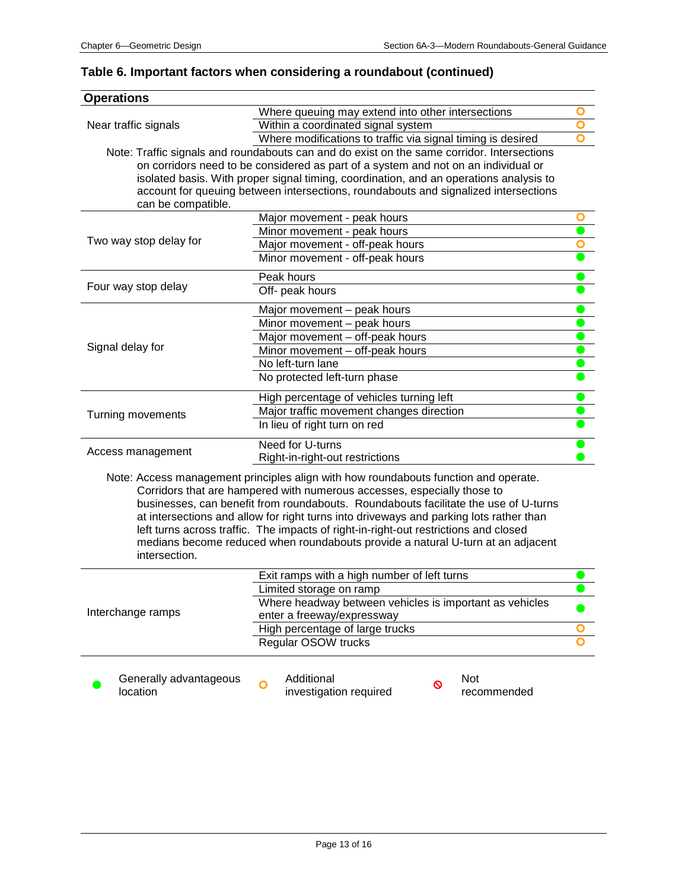### **Table 6. Important factors when considering a roundabout (continued)**

| <b>Operations</b>      |                                                                                                                                                                |   |  |  |
|------------------------|----------------------------------------------------------------------------------------------------------------------------------------------------------------|---|--|--|
|                        | Where queuing may extend into other intersections                                                                                                              |   |  |  |
| Near traffic signals   | Within a coordinated signal system                                                                                                                             |   |  |  |
|                        | Where modifications to traffic via signal timing is desired                                                                                                    |   |  |  |
|                        | Note: Traffic signals and roundabouts can and do exist on the same corridor. Intersections                                                                     |   |  |  |
|                        | on corridors need to be considered as part of a system and not on an individual or                                                                             |   |  |  |
|                        | isolated basis. With proper signal timing, coordination, and an operations analysis to                                                                         |   |  |  |
|                        | account for queuing between intersections, roundabouts and signalized intersections                                                                            |   |  |  |
| can be compatible.     |                                                                                                                                                                |   |  |  |
|                        | Major movement - peak hours                                                                                                                                    | O |  |  |
|                        | Minor movement - peak hours                                                                                                                                    |   |  |  |
| Two way stop delay for | Major movement - off-peak hours                                                                                                                                |   |  |  |
|                        | Minor movement - off-peak hours                                                                                                                                |   |  |  |
|                        | Peak hours                                                                                                                                                     |   |  |  |
| Four way stop delay    | Off- peak hours                                                                                                                                                |   |  |  |
|                        |                                                                                                                                                                |   |  |  |
|                        | Major movement - peak hours<br>Minor movement - peak hours                                                                                                     |   |  |  |
|                        | Major movement - off-peak hours                                                                                                                                |   |  |  |
| Signal delay for       |                                                                                                                                                                |   |  |  |
|                        | Minor movement - off-peak hours                                                                                                                                |   |  |  |
|                        | No left-turn lane                                                                                                                                              |   |  |  |
|                        | No protected left-turn phase                                                                                                                                   |   |  |  |
|                        | High percentage of vehicles turning left                                                                                                                       |   |  |  |
| Turning movements      | Major traffic movement changes direction                                                                                                                       |   |  |  |
|                        | In lieu of right turn on red                                                                                                                                   |   |  |  |
|                        | Need for U-turns                                                                                                                                               |   |  |  |
| Access management      | Right-in-right-out restrictions                                                                                                                                |   |  |  |
|                        |                                                                                                                                                                |   |  |  |
|                        | Note: Access management principles align with how roundabouts function and operate.                                                                            |   |  |  |
|                        | Corridors that are hampered with numerous accesses, especially those to<br>businesses, can benefit from roundabouts. Roundabouts facilitate the use of U-turns |   |  |  |
|                        | at intersections and allow for right turns into driveways and parking lots rather than                                                                         |   |  |  |
|                        | left turns across traffic. The impacts of right-in-right-out restrictions and closed                                                                           |   |  |  |
|                        | medians become reduced when roundabouts provide a natural U-turn at an adjacent                                                                                |   |  |  |
| intersection.          |                                                                                                                                                                |   |  |  |
|                        |                                                                                                                                                                |   |  |  |
|                        | Exit ramps with a high number of left turns                                                                                                                    |   |  |  |
|                        | Limited storage on ramp                                                                                                                                        |   |  |  |
|                        | Where headway between vehicles is important as vehicles                                                                                                        |   |  |  |
| Interchange ramps      | enter a freeway/expressway                                                                                                                                     |   |  |  |
|                        | High percentage of large trucks                                                                                                                                | O |  |  |
|                        | Regular OSOW trucks                                                                                                                                            |   |  |  |
|                        |                                                                                                                                                                |   |  |  |
| Generally advantageous | Additional<br>Not<br>$\overline{O}$<br>O                                                                                                                       |   |  |  |
| location               | investigation required<br>recommended                                                                                                                          |   |  |  |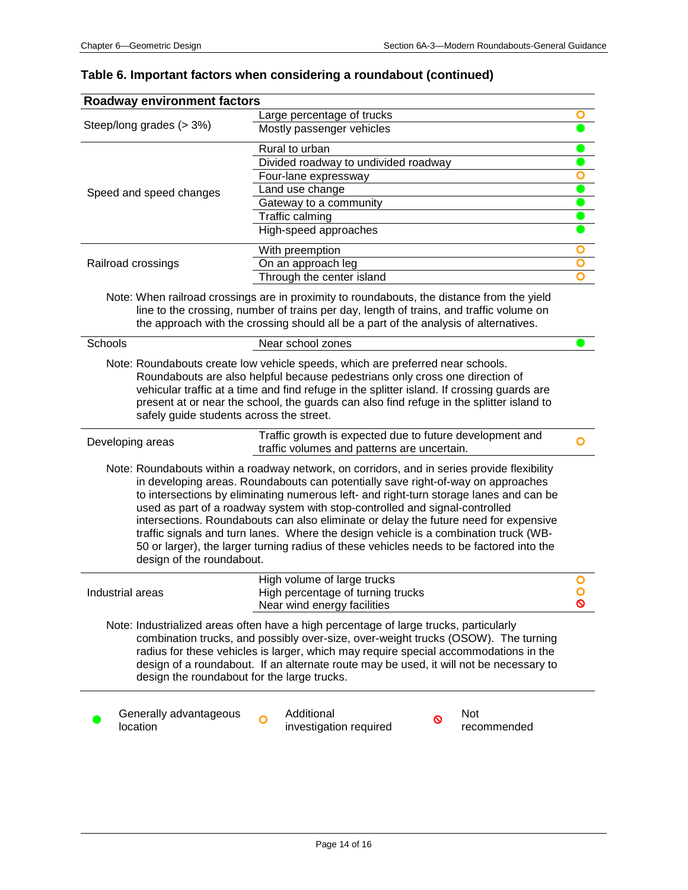# **Table 6. Important factors when considering a roundabout (continued)**

| <b>Roadway environment factors</b>          | Large percentage of trucks                                                                                                                                                                                                                                                                                                                                                                                                                                                                                                                                                                                                           | O                       |
|---------------------------------------------|--------------------------------------------------------------------------------------------------------------------------------------------------------------------------------------------------------------------------------------------------------------------------------------------------------------------------------------------------------------------------------------------------------------------------------------------------------------------------------------------------------------------------------------------------------------------------------------------------------------------------------------|-------------------------|
| Steep/long grades (> 3%)                    | Mostly passenger vehicles                                                                                                                                                                                                                                                                                                                                                                                                                                                                                                                                                                                                            |                         |
|                                             | Rural to urban                                                                                                                                                                                                                                                                                                                                                                                                                                                                                                                                                                                                                       |                         |
|                                             | Divided roadway to undivided roadway                                                                                                                                                                                                                                                                                                                                                                                                                                                                                                                                                                                                 |                         |
|                                             | Four-lane expressway                                                                                                                                                                                                                                                                                                                                                                                                                                                                                                                                                                                                                 | $\bullet$               |
|                                             | Land use change                                                                                                                                                                                                                                                                                                                                                                                                                                                                                                                                                                                                                      | $\bullet$               |
| Speed and speed changes                     | Gateway to a community                                                                                                                                                                                                                                                                                                                                                                                                                                                                                                                                                                                                               |                         |
|                                             | Traffic calming                                                                                                                                                                                                                                                                                                                                                                                                                                                                                                                                                                                                                      |                         |
|                                             | High-speed approaches                                                                                                                                                                                                                                                                                                                                                                                                                                                                                                                                                                                                                |                         |
|                                             | With preemption                                                                                                                                                                                                                                                                                                                                                                                                                                                                                                                                                                                                                      | O                       |
| Railroad crossings                          | On an approach leg                                                                                                                                                                                                                                                                                                                                                                                                                                                                                                                                                                                                                   | $\overline{\mathsf{o}}$ |
|                                             | Through the center island                                                                                                                                                                                                                                                                                                                                                                                                                                                                                                                                                                                                            | $\mathbf{\Omega}$       |
|                                             | Note: When railroad crossings are in proximity to roundabouts, the distance from the yield<br>line to the crossing, number of trains per day, length of trains, and traffic volume on<br>the approach with the crossing should all be a part of the analysis of alternatives.                                                                                                                                                                                                                                                                                                                                                        |                         |
| Schools                                     | Near school zones                                                                                                                                                                                                                                                                                                                                                                                                                                                                                                                                                                                                                    |                         |
| safely guide students across the street.    | Roundabouts are also helpful because pedestrians only cross one direction of<br>vehicular traffic at a time and find refuge in the splitter island. If crossing guards are<br>present at or near the school, the guards can also find refuge in the splitter island to                                                                                                                                                                                                                                                                                                                                                               |                         |
| Developing areas                            | Traffic growth is expected due to future development and<br>traffic volumes and patterns are uncertain.                                                                                                                                                                                                                                                                                                                                                                                                                                                                                                                              | O                       |
| design of the roundabout.                   | Note: Roundabouts within a roadway network, on corridors, and in series provide flexibility<br>in developing areas. Roundabouts can potentially save right-of-way on approaches<br>to intersections by eliminating numerous left- and right-turn storage lanes and can be<br>used as part of a roadway system with stop-controlled and signal-controlled<br>intersections. Roundabouts can also eliminate or delay the future need for expensive<br>traffic signals and turn lanes. Where the design vehicle is a combination truck (WB-<br>50 or larger), the larger turning radius of these vehicles needs to be factored into the |                         |
| Industrial areas                            | High volume of large trucks<br>High percentage of turning trucks<br>Near wind energy facilities                                                                                                                                                                                                                                                                                                                                                                                                                                                                                                                                      | ଷ                       |
| design the roundabout for the large trucks. | Note: Industrialized areas often have a high percentage of large trucks, particularly<br>combination trucks, and possibly over-size, over-weight trucks (OSOW). The turning<br>radius for these vehicles is larger, which may require special accommodations in the<br>design of a roundabout. If an alternate route may be used, it will not be necessary to                                                                                                                                                                                                                                                                        |                         |
| Generally advantageous<br>location          | Additional<br>Not<br>O<br>investigation required<br>recommended                                                                                                                                                                                                                                                                                                                                                                                                                                                                                                                                                                      |                         |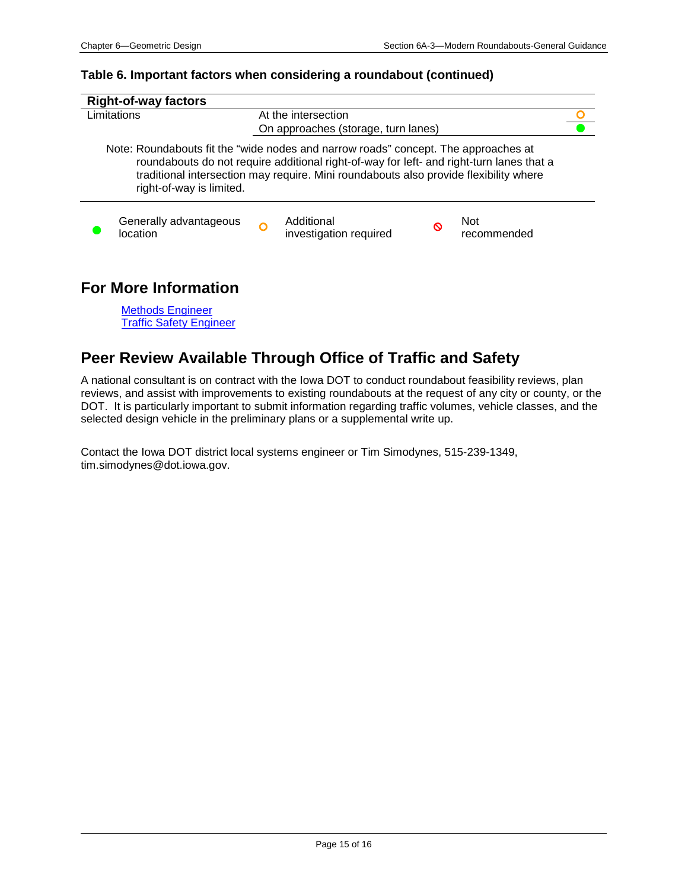Traffic Safety Engineer

#### **Table 6. Important factors when considering a roundabout (continued)**

| <b>Right-of-way factors</b>                                                                                                                                                                                                                                                                         |  |                                      |   |                    |  |
|-----------------------------------------------------------------------------------------------------------------------------------------------------------------------------------------------------------------------------------------------------------------------------------------------------|--|--------------------------------------|---|--------------------|--|
| Limitations                                                                                                                                                                                                                                                                                         |  | At the intersection                  |   |                    |  |
|                                                                                                                                                                                                                                                                                                     |  | On approaches (storage, turn lanes)  |   |                    |  |
| Note: Roundabouts fit the "wide nodes and narrow roads" concept. The approaches at<br>roundabouts do not require additional right-of-way for left- and right-turn lanes that a<br>traditional intersection may require. Mini roundabouts also provide flexibility where<br>right-of-way is limited. |  |                                      |   |                    |  |
| Generally advantageous<br>location                                                                                                                                                                                                                                                                  |  | Additional<br>investigation required | ∾ | Not<br>recommended |  |
| <b>For More Information</b><br><b>Methods Engineer</b>                                                                                                                                                                                                                                              |  |                                      |   |                    |  |

# **Peer Review Available Through Office of Traffic and Safety**

A national consultant is on contract with the Iowa DOT to conduct roundabout feasibility reviews, plan reviews, and assist with improvements to existing roundabouts at the request of any city or county, or the DOT. It is particularly important to submit information regarding traffic volumes, vehicle classes, and the selected design vehicle in the preliminary plans or a supplemental write up.

Contact the Iowa DOT district local systems engineer or Tim Simodynes, 515-239-1349, tim.simodynes@dot.iowa.gov.